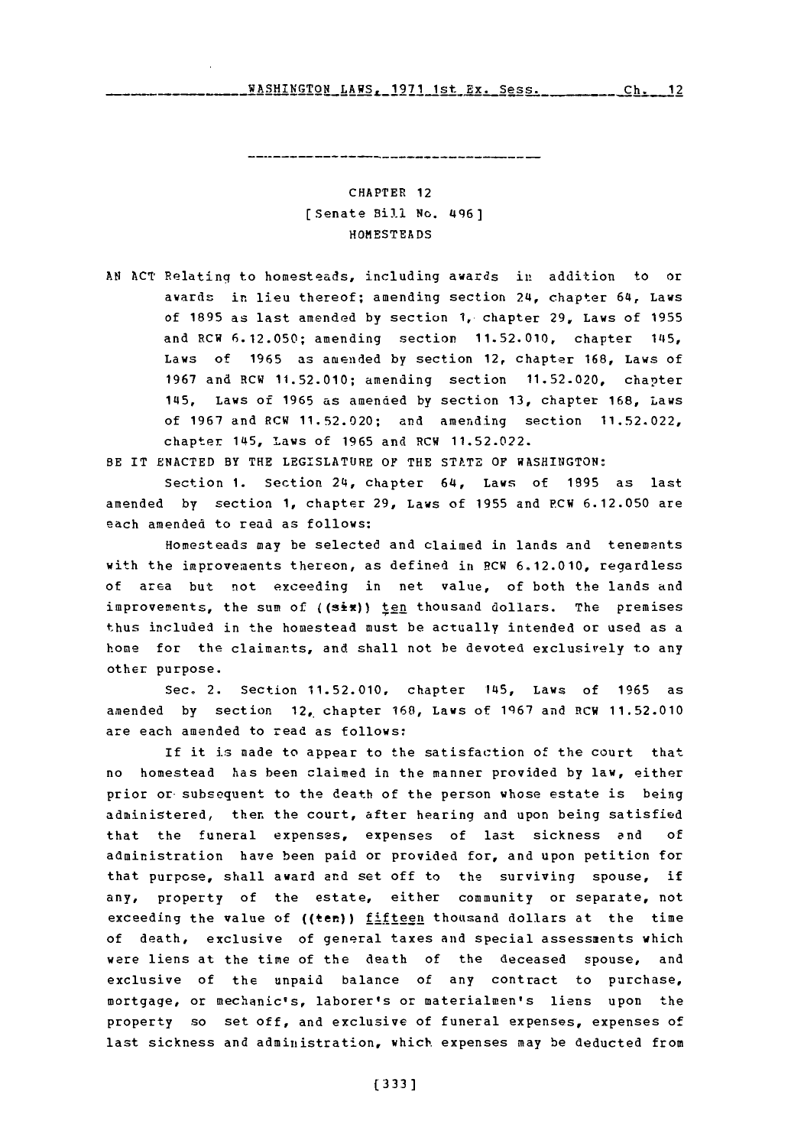**wAT?~TON t.AWE 1971 let ~.y. S~ee Ch 12** WAqHTh'rTnN F.AWq- **1q71** 1,::t *Ry* **\_q** *g.* **q -:z** ri, **<sup>17</sup>**

## CHAPTER 12 [Senate Bill No. 496] **HOMESTEADS**

**AN ACT** Relating to homesteads, including awards in addition to or awards in lieu thereof; amending section 24, chapter 64, Laws of **1895** as last amended **by** section **1,** chapter **29,** Laws of **1955** and RCW **6.12.050;** amending section **11.52.010,** chapter **1115,** Laws of **1965** as amended **by** section 12, chapter **168,** Laws of **1967** and RCW **11.52.010;** amending section **11.52.020,** chapter 145, Laws of **1965** as amended **by** section **13,** chapter **168,** Laws of **1967** and RCW **11.52.020;** and amending section **11.52.022,** chapter 145, Laws of **1965** and RCW 11.52.022.

BE IT **ENACTED** BY THE **LEGISLATURE** OF THE **STATE** OF WASHINGTON:

Section 1. Section 24, chapter 64, Laws of 1895 as last amended **by** section **1,** chapter **29,** Laws of **1955** and P.CW **6.12.050** are each amended to read as follows:

Homesteads may be selected and claimed in lands and tenements with the improvements thereon, as defined in RCW **6.12.010,** regardless of area but not exceeding in net value, of both the lands and improvements, the sum of (( $s\textbf{ir}$ )) ten thousand dollars. The premises thus included in the homestead must be actually intended or used as a home for the claimants, and shall not be devoted exclusively to any other purpose.

Sec. 2. Section **11.52.010,** chapter 145, Laws of **1965** as amended **by** section 12, chapter **168,** Laws of **1q67** and RCW **11.52.010** are each amended to read as follows:

If it is made to appear to the satisfaction of the court that no homestead has been claimed in the manner provided **by** law, either prior or-subsequent to the death of the person whose estate is being administered, then the court, after hearing and upon being satisfied that the funeral expenses, expenses of last sickness and **of** administration have been paid or provided for, and upon petition for that purpose, shall award and set off to the surviving spouse, if any, property of the estate, either community or separate, not exceeding the value of  $((ten))$  fifteen thousand dollars at the time of death, exclusive of general taxes and special assessments which were liens at the time of the death of the deceased spouse, and exclusive of the unpaid balance of any contract to purchase, mortgage, or mechanic's, laborer's or materialmen's liens upon the property so set off, and exclusive of funeral expenses, expenses of last sickness and administration, which expenses may be deducted from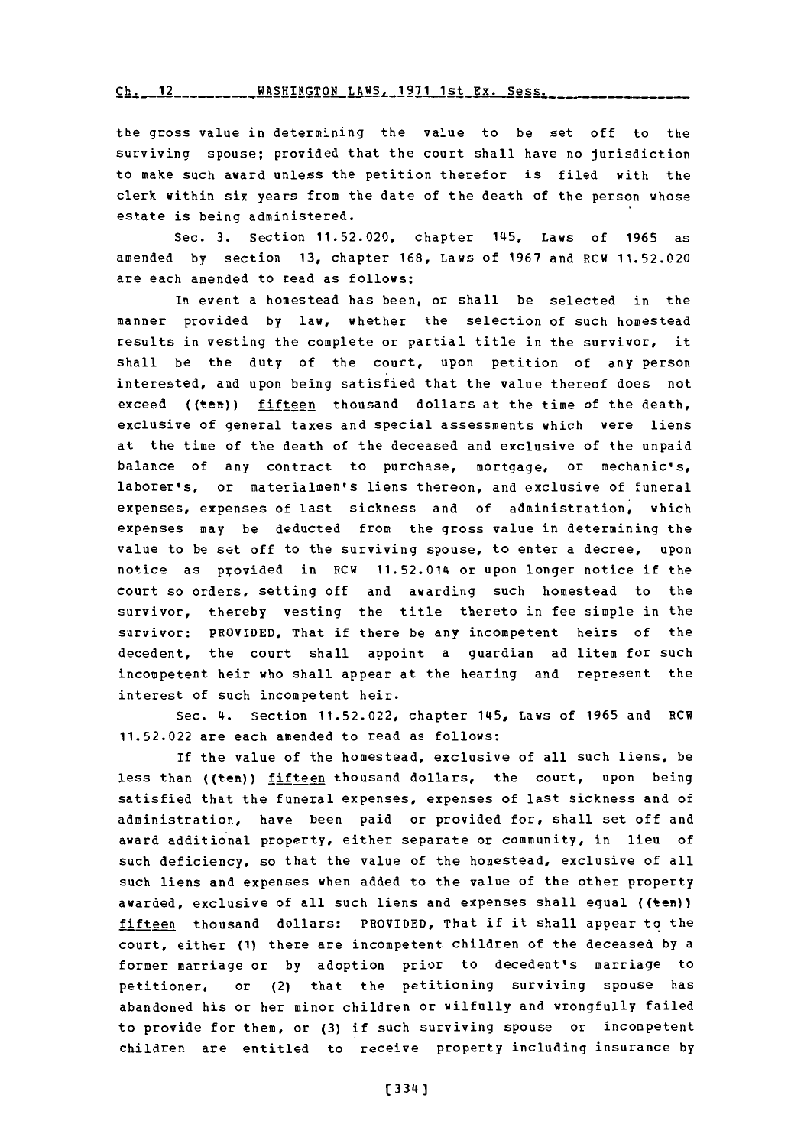**Ch.** 12 **WASHINGTON** LAWS. **1971** 1st Ex. Sess.

the gross value in determining the value to be set off to the surviving spouse; provided that the court shall have no jurisdiction to make such award unless the petition therefor is filed with the clerk within six years from the date of the death of the person whose estate is being administered.

Sec. **3.** Section **11.52.020,** chapter 145, Laws of **1965** as amended **by** section **13,** chapter **168,** Laws of **1967** and RCW **11.52.020** are each amended to read as follows:

In event a homestead has been, or shall be selected in the manner provided **by** law, whether the selection of such homestead results in vesting the complete or partial title in the survivor, it shall be the duty of the court, upon petition of any person interested, and upon being satisfied that the value thereof does not exceed **(** (ten) **)** fifteen thousand dollars at the time of the death, exclusive of general taxes and special assessments which were liens at the time of the death of the deceased and exclusive of the unpaid balance of any contract to purchase, mortgage, or mechanic's, laborer's, or materialmen's liens thereon, and exclusive of funeral expenses, expenses of last sickness and of administration, which expenses may be deducted from the gross value in determining the value to be set off to the surviving spouse, to enter a decree, upon notice as provided in RCW 11.52.014 or upon longer notice if the court so orders, setting off and awarding such homestead to the survivor, thereby vesting the title thereto in fee simple in the survivor: PROVIDED, That if there be any incompetent heirs of the decedent, the court shall appoint a guardian ad litem for such incompetent heir who shall appear at the hearing and represent the interest of such incompetent heir.

Sec. 4. Section **11.52.022,** chapter 145, Laws of **1965** and RCW **11.52.022** are each amended to read as follows:

If the value of the homestead, exclusive of all such liens, be less than ((ten))  $f$ ifteen thousand dollars, the court, upon being satisfied that the funeral expenses, expenses of last sickness and of administration, have been paid or provided for, shall set off and award additional property, either separate or community, in lieu of such deficiency, so that the value of the homestead, exclusive of all such liens and expenses when added to the value of the other property awarded, exclusive of all such liens and expenses shall equal ((ten)) fifteen thousand dollars: PROVIDED, That if it shall appear to the court, either **(1)** there are incompetent children of the deceased **by** a former marriage or **by** adoption prior to decedent's marriage to petitioner, or (2) that the petitioning surviving spouse has abandoned his or her minor children or wilfully and wrongfully failed to provide for them, or **(3)** if such surviving spouse or incompetent children are entitled to receive property including insurance **by**